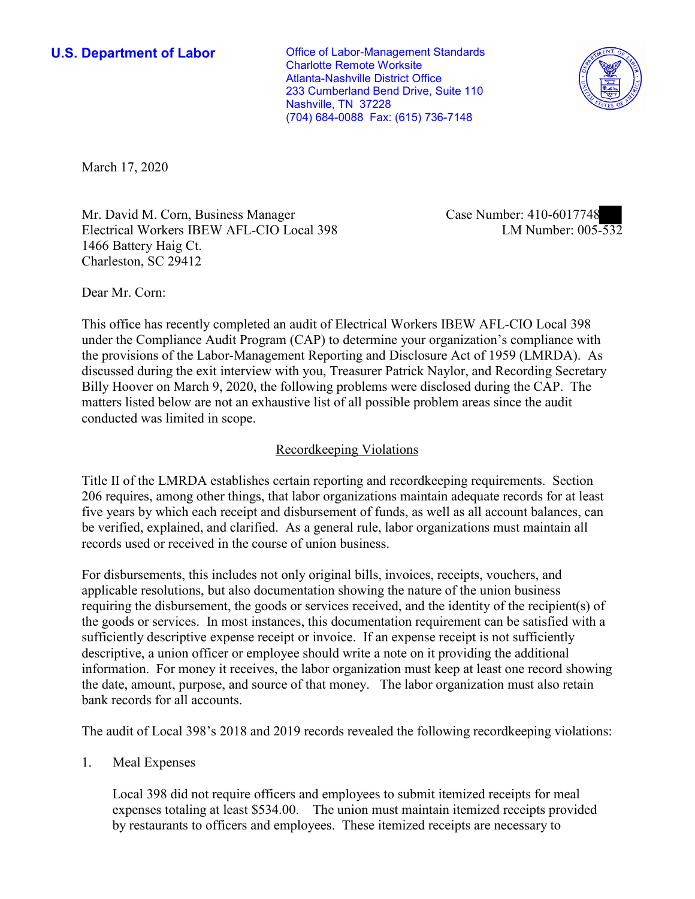(704) 684-0088 Fax: (615) 736-7148 **U.S. Department of Labor Conservative Conservative Conservative Conservative U.S.** Department of Labor Charlotte Remote Worksite Atlanta-Nashville District Office 233 Cumberland Bend Drive, Suite 110 Nashville, TN 37228



March 17, 2020

Mr. David M. Corn, Business Manager Electrical Workers IBEW AFL-CIO Local 398 1466 Battery Haig Ct. Charleston, SC 29412

Case Number: 410-6017748<br>LM Number: 005-532

Dear Mr. Corn:

 This office has recently completed an audit of Electrical Workers IBEW AFL-CIO Local 398 under the Compliance Audit Program (CAP) to determine your organization's compliance with the provisions of the Labor-Management Reporting and Disclosure Act of 1959 (LMRDA). As discussed during the exit interview with you, Treasurer Patrick Naylor, and Recording Secretary Billy Hoover on March 9, 2020, the following problems were disclosed during the CAP. The matters listed below are not an exhaustive list of all possible problem areas since the audit conducted was limited in scope.

# Recordkeeping Violations

 Title II of the LMRDA establishes certain reporting and recordkeeping requirements. Section 206 requires, among other things, that labor organizations maintain adequate records for at least five years by which each receipt and disbursement of funds, as well as all account balances, can be verified, explained, and clarified. As a general rule, labor organizations must maintain all records used or received in the course of union business.

 sufficiently descriptive expense receipt or invoice. If an expense receipt is not sufficiently For disbursements, this includes not only original bills, invoices, receipts, vouchers, and applicable resolutions, but also documentation showing the nature of the union business requiring the disbursement, the goods or services received, and the identity of the recipient(s) of the goods or services. In most instances, this documentation requirement can be satisfied with a descriptive, a union officer or employee should write a note on it providing the additional information. For money it receives, the labor organization must keep at least one record showing the date, amount, purpose, and source of that money. The labor organization must also retain bank records for all accounts.

The audit of Local 398's 2018 and 2019 records revealed the following recordkeeping violations:

## 1. Meal Expenses

Local 398 did not require officers and employees to submit itemized receipts for meal expenses totaling at least \$534.00. The union must maintain itemized receipts provided by restaurants to officers and employees. These itemized receipts are necessary to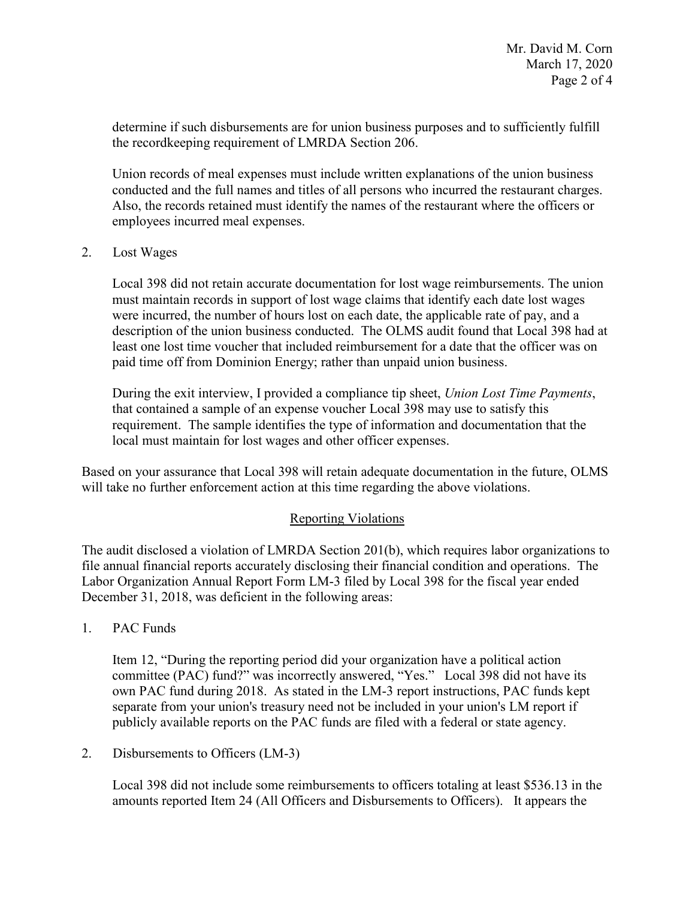determine if such disbursements are for union business purposes and to sufficiently fulfill the recordkeeping requirement of LMRDA Section 206.

conducted and the full names and titles of all persons who incurred the restaurant charges. employees incurred meal expenses. 2. Lost Wages Union records of meal expenses must include written explanations of the union business Also, the records retained must identify the names of the restaurant where the officers or

 were incurred, the number of hours lost on each date, the applicable rate of pay, and a description of the union business conducted. The OLMS audit found that Local 398 had at least one lost time voucher that included reimbursement for a date that the officer was on paid time off from Dominion Energy; rather than unpaid union business. Local 398 did not retain accurate documentation for lost wage reimbursements. The union must maintain records in support of lost wage claims that identify each date lost wages

 that contained a sample of an expense voucher Local 398 may use to satisfy this During the exit interview, I provided a compliance tip sheet, *Union Lost Time Payments*, requirement. The sample identifies the type of information and documentation that the local must maintain for lost wages and other officer expenses.

 Based on your assurance that Local 398 will retain adequate documentation in the future, OLMS will take no further enforcement action at this time regarding the above violations.

## Reporting Violations

 Labor Organization Annual Report Form LM-3 filed by Local 398 for the fiscal year ended The audit disclosed a violation of LMRDA Section 201(b), which requires labor organizations to file annual financial reports accurately disclosing their financial condition and operations. The December 31, 2018, was deficient in the following areas:

1. PAC Funds

 separate from your union's treasury need not be included in your union's LM report if publicly available reports on the PAC funds are filed with a federal or state agency.<br>2. Disbursements to Officers (LM-3) Item 12, "During the reporting period did your organization have a political action committee (PAC) fund?" was incorrectly answered, "Yes." Local 398 did not have its own PAC fund during 2018. As stated in the LM-3 report instructions, PAC funds kept

Local 398 did not include some reimbursements to officers totaling at least \$536.13 in the amounts reported Item 24 (All Officers and Disbursements to Officers). It appears the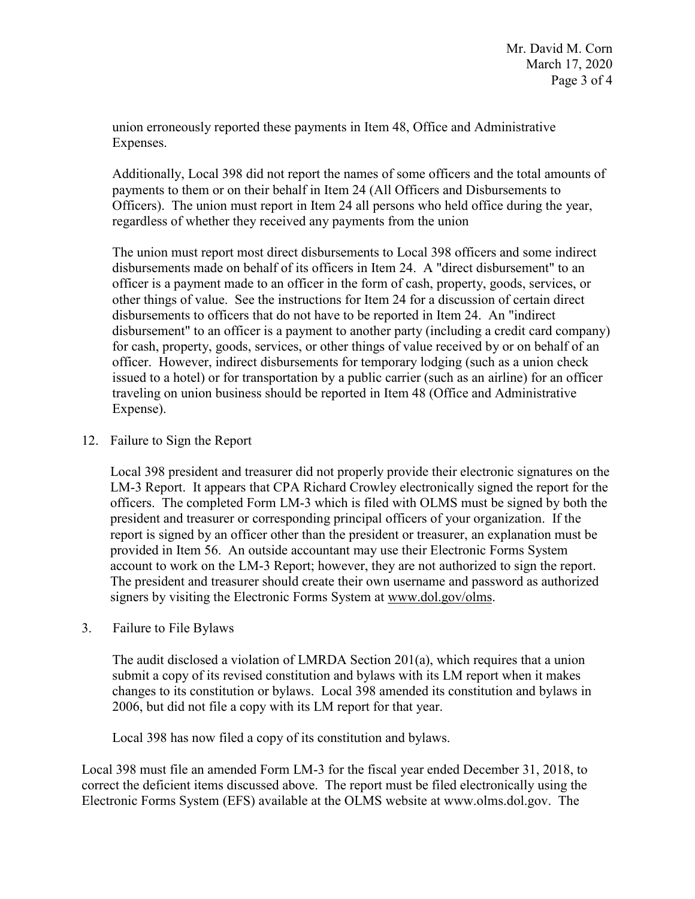union erroneously reported these payments in Item 48, Office and Administrative Expenses.

Additionally, Local 398 did not report the names of some officers and the total amounts of payments to them or on their behalf in Item 24 (All Officers and Disbursements to Officers). The union must report in Item 24 all persons who held office during the year, regardless of whether they received any payments from the union

 The union must report most direct disbursements to Local 398 officers and some indirect issued to a hotel) or for transportation by a public carrier (such as an airline) for an officer disbursements made on behalf of its officers in Item 24. A "direct disbursement" to an officer is a payment made to an officer in the form of cash, property, goods, services, or other things of value. See the instructions for Item 24 for a discussion of certain direct disbursements to officers that do not have to be reported in Item 24. An "indirect disbursement" to an officer is a payment to another party (including a credit card company) for cash, property, goods, services, or other things of value received by or on behalf of an officer. However, indirect disbursements for temporary lodging (such as a union check traveling on union business should be reported in Item 48 (Office and Administrative Expense).

### 12. Failure to Sign the Report

 Local 398 president and treasurer did not properly provide their electronic signatures on the officers. The completed Form LM-3 which is filed with OLMS must be signed by both the president and treasurer or corresponding principal officers of your organization. If the account to work on the LM-3 Report; however, they are not authorized to sign the report. LM-3 Report. It appears that CPA Richard Crowley electronically signed the report for the report is signed by an officer other than the president or treasurer, an explanation must be provided in Item 56. An outside accountant may use their Electronic Forms System The president and treasurer should create their own username and password as authorized signers by visiting the Electronic Forms System at [www.dol.gov/olms.](www.dol.gov/olms)

3. Failure to File Bylaws

 2006, but did not file a copy with its LM report for that year. The audit disclosed a violation of LMRDA Section 201(a), which requires that a union submit a copy of its revised constitution and bylaws with its LM report when it makes changes to its constitution or bylaws. Local 398 amended its constitution and bylaws in

Local 398 has now filed a copy of its constitution and bylaws.

Local 398 must file an amended Form LM-3 for the fiscal year ended December 31, 2018, to correct the deficient items discussed above. The report must be filed electronically using the Electronic Forms System (EFS) available at the OLMS website at [www.olms.dol.gov.](www.olms.dol.gov) The